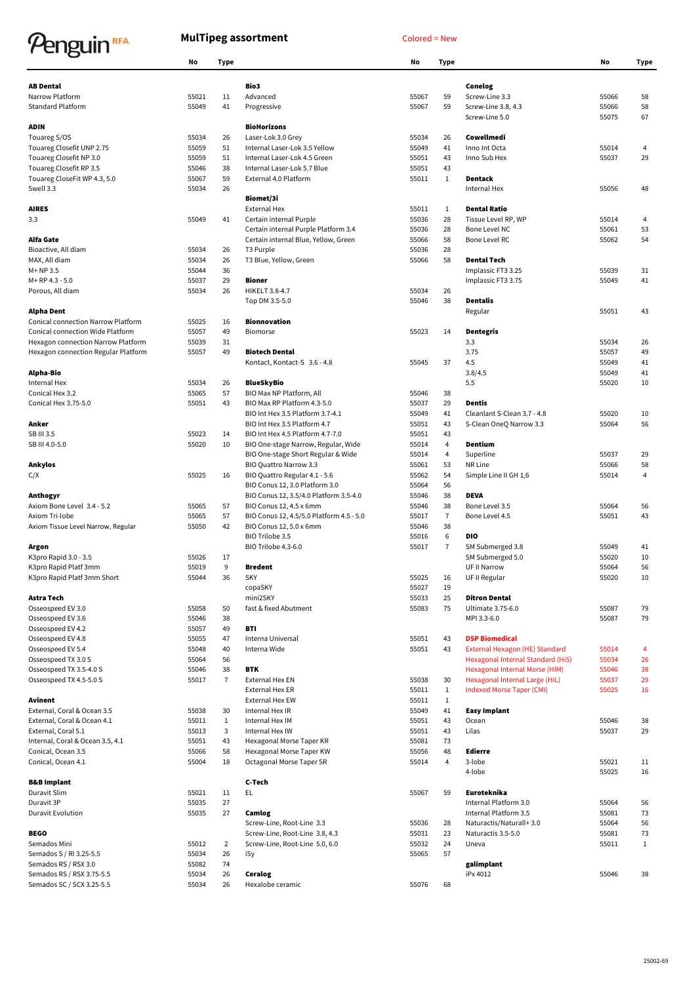## Penguin<sup>RFA</sup>

## MulTipeg assortment Colored = New

|                                                                                                          | No             | Type           |                                          | No    | Type           |                                       | No    | Type         |
|----------------------------------------------------------------------------------------------------------|----------------|----------------|------------------------------------------|-------|----------------|---------------------------------------|-------|--------------|
| <b>AB Dental</b>                                                                                         |                |                | Bio3                                     |       |                |                                       |       |              |
| Narrow Platform                                                                                          | 55021          | 11             | Advanced                                 | 55067 | 59             | Conelog<br>Screw-Line 3.3             | 55066 | 58           |
| <b>Standard Platform</b>                                                                                 | 55049          | 41             |                                          |       | 59             |                                       | 55066 |              |
|                                                                                                          |                |                | Progressive                              | 55067 |                | Screw-Line 3.8, 4.3<br>Screw-Line 5.0 | 55075 | 58<br>67     |
| ADIN                                                                                                     |                |                | <b>BioHorizons</b>                       |       |                |                                       |       |              |
| Touareg S/OS                                                                                             | 55034          | 26             | Laser-Lok 3.0 Grey                       | 55034 | 26             | Cowellmedi                            |       |              |
| Touareg Closefit UNP 2.75                                                                                | 55059          | 51             | Internal Laser-Lok 3.5 Yellow            | 55049 | 41             | Inno Int Octa                         | 55014 | 4            |
| Touareg Closefit NP 3.0                                                                                  | 55059          | 51             | Internal Laser-Lok 4.5 Green             | 55051 | 43             | Inno Sub Hex                          | 55037 | 29           |
| Touareg Closefit RP 3.5                                                                                  | 55046          | 38             | Internal Laser-Lok 5.7 Blue              | 55051 | 43             |                                       |       |              |
| Touareg CloseFit WP 4.3, 5.0                                                                             | 55067          | 59             | External 4.0 Platform                    | 55011 | $\mathbf{1}$   | Dentack                               |       |              |
| Swell 3.3                                                                                                | 55034          | 26             |                                          |       |                | Internal Hex                          | 55056 | 48           |
|                                                                                                          |                |                | Biomet/3i                                |       |                |                                       |       |              |
| <b>AIRES</b>                                                                                             |                |                | <b>External Hex</b>                      | 55011 | $\mathbf{1}$   | <b>Dental Ratio</b>                   |       |              |
| 3.3                                                                                                      | 55049          | 41             | Certain internal Purple                  | 55036 | 28             | Tissue Level RP, WP                   | 55014 | 4            |
|                                                                                                          |                |                | Certain internal Purple Platform 3.4     | 55036 | 28             | Bone Level NC                         | 55061 | 53           |
| Alfa Gate                                                                                                |                |                | Certain internal Blue, Yellow, Green     | 55066 | 58             | <b>Bone Level RC</b>                  | 55062 | 54           |
| Bioactive, All diam                                                                                      | 55034          | 26             | T <sub>3</sub> Purple                    | 55036 | 28             |                                       |       |              |
| MAX, All diam                                                                                            | 55034          | 26             | T3 Blue, Yellow, Green                   | 55066 | 58             | <b>Dental Tech</b>                    |       |              |
| $M+NP3.5$                                                                                                | 55044          | 36             |                                          |       |                | Implassic FT3 3.25                    | 55039 | 31           |
| M+RP 4.3 - 5.0                                                                                           | 55037          | 29             | Bioner                                   |       |                | Implassic FT3 3.75                    | 55049 | 41           |
| Porous, All diam                                                                                         | 55034          | 26             | HIKELT 3.8-4.7                           | 55034 | 26             |                                       |       |              |
|                                                                                                          |                |                | Top DM 3.5-5.0                           | 55046 | 38             | <b>Dentalis</b>                       |       |              |
| Alpha Dent                                                                                               |                |                |                                          |       |                | Regular                               | 55051 | 43           |
| <b>Conical connection Narrow Platform</b>                                                                | 55025          | 16             | Bionnovation                             |       |                |                                       |       |              |
| Conical connection Wide Platform                                                                         | 55057          | 49             | Biomorse                                 | 55023 | 14             | <b>Dentegris</b>                      |       |              |
|                                                                                                          | 55039          |                |                                          |       |                | 3.3                                   | 55034 |              |
| Hexagon connection Narrow Platform                                                                       | 55057          | 31<br>49       | <b>Biotech Dental</b>                    |       |                | 3.75                                  | 55057 | 26<br>49     |
| Hexagon connection Regular Platform                                                                      |                |                |                                          | 55045 | 37             | 4.5                                   | 55049 |              |
|                                                                                                          |                |                | Kontact, Kontact-S 3.6 - 4.8             |       |                |                                       | 55049 | 41           |
| Alpha-Bio                                                                                                |                |                |                                          |       |                | 3.8/4.5                               |       | 41           |
| Internal Hex                                                                                             | 55034          | 26             | <b>BlueSkyBio</b>                        |       |                | 5.5                                   | 55020 | 10           |
| Conical Hex 3.2                                                                                          | 55065          | 57             | BIO Max NP Platform, All                 | 55046 | 38             |                                       |       |              |
| Conical Hex 3.75-5.0                                                                                     | 55051          | 43             | BIO Max RP Platform 4.3-5.0              | 55037 | 29             | Dentis                                |       |              |
|                                                                                                          |                |                | BIO Int Hex 3.5 Platform 3.7-4.1         | 55049 | 41             | Cleanlant S-Clean 3.7 - 4.8           | 55020 | 10           |
| Anker                                                                                                    |                |                | BIO Int Hex 3.5 Platform 4.7             | 55051 | 43             | S-Clean OneQ Narrow 3.3               | 55064 | 56           |
| SB III 3.5                                                                                               | 55023          | 14             | BIO Int Hex 4.5 Platform 4.7-7.0         | 55051 | 43             |                                       |       |              |
| SB III 4.0-5.0                                                                                           | 55020          | 10             | BIO One-stage Narrow, Regular, Wide      | 55014 | $\overline{4}$ | Dentium                               |       |              |
|                                                                                                          |                |                | BIO One-stage Short Regular & Wide       | 55014 | $\overline{4}$ | Superline                             | 55037 | 29           |
| Ankylos                                                                                                  |                |                | BIO Quattro Narrow 3.3                   | 55061 | 53             | NR Line                               | 55066 | 58           |
| C/X                                                                                                      | 55025          | 16             | BIO Quattro Regular 4.1 - 5.6            | 55062 | 54             | Simple Line II GH 1,6                 | 55014 | 4            |
|                                                                                                          |                |                | BIO Conus 12, 3.0 Platform 3.0           | 55064 | 56             |                                       |       |              |
| Anthogyr                                                                                                 |                |                | BIO Conus 12, 3.5/4.0 Platform 3.5-4.0   | 55046 | 38             | <b>DEVA</b>                           |       |              |
| Axiom Bone Level 3.4 - 5.2                                                                               | 55065          | 57             | BIO Conus 12, 4.5 x 6mm                  | 55046 | 38             | Bone Level 3.5                        | 55064 | 56           |
| Axiom Tri-lobe                                                                                           | 55065          | 57             | BIO Conus 12, 4.5/5.0 Platform 4.5 - 5.0 | 55017 | $\overline{7}$ | Bone Level 4.5                        | 55051 | 43           |
| Axiom Tissue Level Narrow, Regular                                                                       | 55050          | 42             | BIO Conus 12, 5.0 x 6mm                  | 55046 | 38             |                                       |       |              |
|                                                                                                          |                |                | BIO Trilobe 3.5                          | 55016 | 6              | DIO                                   |       |              |
| Argon                                                                                                    |                |                | <b>BIO Trilobe 4.3-6.0</b>               | 55017 | $\overline{7}$ | SM Submerged 3.8                      | 55049 | 41           |
| K3pro Rapid 3.0 - 3.5                                                                                    | 55026          | 17             |                                          |       |                | SM Submerged 5.0                      | 55020 | 10           |
| K3pro Rapid Platf 3mm                                                                                    | 55019          | 9              | Bredent                                  |       |                | UF II Narrow                          | 55064 | 56           |
| K3pro Rapid Platf 3mm Short                                                                              | 55044          | 36             | <b>SKY</b>                               | 55025 | 16             | UF II Regular                         | 55020 | 10           |
|                                                                                                          |                |                | copaSKY                                  | 55027 | 19             |                                       |       |              |
| Astra Tech                                                                                               |                |                | mini2SKY                                 | 55033 | 25             | <b>Ditron Dental</b>                  |       |              |
| Osseospeed EV 3.0                                                                                        | 55058          | 50             | fast & fixed Abutment                    | 55083 | 75             | Ultimate 3.75-6.0                     | 55087 | 79           |
| Osseospeed EV 3.6                                                                                        | 55046          | 38             |                                          |       |                | MPI 3.3-6.0                           | 55087 | 79           |
| Osseospeed EV 4.2                                                                                        | 55057          | 49             | BTI                                      |       |                |                                       |       |              |
| Osseospeed EV 4.8                                                                                        | 55055          | 47             | Interna Universal                        | 55051 | 43             | <b>DSP Biomedical</b>                 |       |              |
| Osseospeed EV 5.4                                                                                        | 55048          | 40             | Interna Wide                             | 55051 | 43             | External Hexagon (HE) Standard        | 55014 | 4            |
| Osseospeed TX 3.0 S                                                                                      | 55064          | 56             |                                          |       |                | Hexagonal Internal Standard (HiS)     | 55034 | 26           |
| Osseospeed TX 3.5-4.0 S                                                                                  | 55046          | 38             | <b>BTK</b>                               |       |                | Hexagonal Internal Morse (HIM)        | 55046 | 38           |
| Osseospeed TX 4.5-5.0 S                                                                                  | 55017          | 7              | External Hex EN                          | 55038 | 30             | Hexagonal Internal Large (HiL)        | 55037 | 29           |
|                                                                                                          |                |                | External Hex ER                          | 55011 | $\mathbf{1}$   | <b>Indexed Morse Taper (CMI)</b>      | 55025 | 16           |
| Avinent                                                                                                  |                |                | <b>External Hex EW</b>                   | 55011 | $\mathbf{1}$   |                                       |       |              |
| External, Coral & Ocean 3.5                                                                              | 55038          | 30             | Internal Hex IR                          | 55049 | 41             | <b>Easy Implant</b>                   |       |              |
| External, Coral & Ocean 4.1                                                                              | 55011          | $\mathbf{1}$   | Internal Hex IM                          | 55051 | 43             | Ocean                                 | 55046 | 38           |
| External, Coral 5.1                                                                                      | 55013          | 3              | Internal Hex IW                          | 55051 | 43             | Lilas                                 | 55037 | 29           |
| Internal, Coral & Ocean 3.5, 4.1                                                                         | 55051          | 43             | Hexagonal Morse Taper KR                 | 55081 | 73             |                                       |       |              |
| Conical, Ocean 3.5                                                                                       | 55066          | 58             | Hexagonal Morse Taper KW                 | 55056 | 48             | <b>Edierre</b>                        |       |              |
| Conical, Ocean 4.1                                                                                       | 55004          | 18             | Octagonal Morse Taper SR                 | 55014 | $\overline{4}$ | 3-lobe                                | 55021 | 11           |
|                                                                                                          |                |                |                                          |       |                | 4-lobe                                | 55025 | 16           |
|                                                                                                          |                |                | C-Tech                                   |       |                |                                       |       |              |
|                                                                                                          |                | 11             | EL.                                      | 55067 | 59             | Euroteknika                           |       |              |
|                                                                                                          |                |                |                                          |       |                | Internal Platform 3.0                 | 55064 | 56           |
|                                                                                                          | 55021          |                |                                          |       |                |                                       |       |              |
|                                                                                                          | 55035          | 27             |                                          |       |                |                                       |       |              |
|                                                                                                          | 55035          | 27             | Camlog                                   |       |                | Internal Platform 3.5                 | 55081 | 73           |
|                                                                                                          |                |                | Screw-Line, Root-Line 3.3                | 55036 | 28             | Naturactis/Naturall+3.0               | 55064 | 56           |
|                                                                                                          |                |                | Screw-Line, Root-Line 3.8, 4.3           | 55031 | 23             | Naturactis 3.5-5.0                    | 55081 | 73           |
| <b>B&amp;B</b> Implant<br>Duravit Slim<br>Duravit 3P<br>Duravit Evolution<br><b>BEGO</b><br>Semados Mini | 55012          | $\overline{2}$ | Screw-Line, Root-Line 5.0, 6.0           | 55032 | 24             | Uneva                                 | 55011 | $\mathbf{1}$ |
| Semados S / RI 3.25-5.5                                                                                  | 55034          | 26             | iSy                                      | 55065 | 57             |                                       |       |              |
| Semados RS / RSX 3.0<br>Semados RS / RSX 3.75-5.5                                                        | 55082<br>55034 | 74<br>26       | Ceralog                                  |       |                | galimplant<br>iPx 4012                | 55046 | 38           |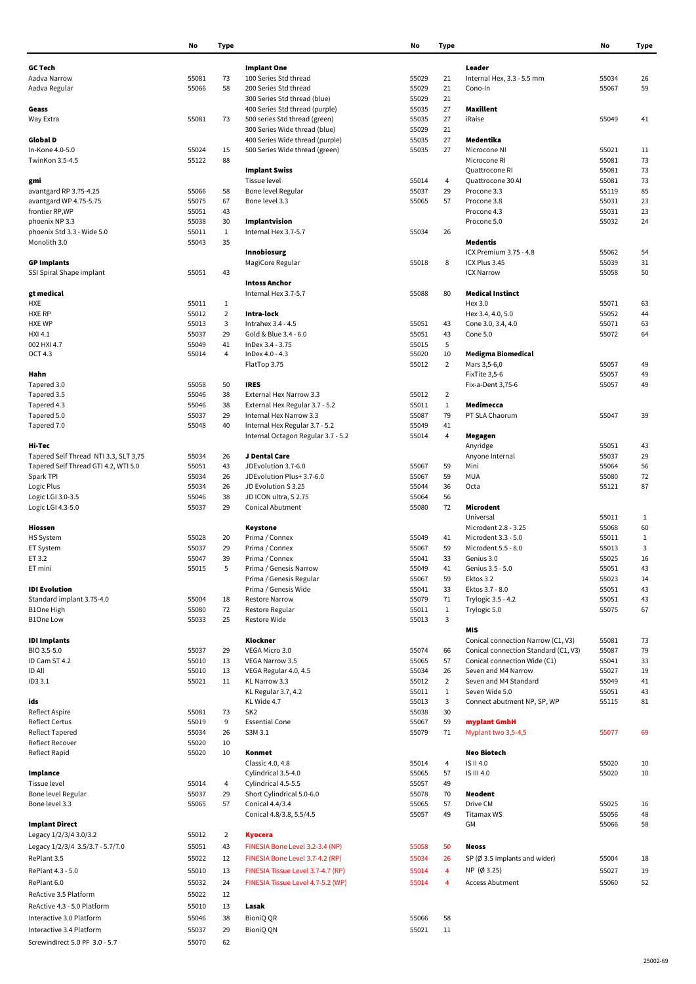|                                       | No             | <b>Type</b>    |                                                                | No             | <b>Type</b>             |                                         | No    | Type         |
|---------------------------------------|----------------|----------------|----------------------------------------------------------------|----------------|-------------------------|-----------------------------------------|-------|--------------|
|                                       |                |                |                                                                |                |                         |                                         |       |              |
| <b>GC Tech</b>                        |                |                | <b>Implant One</b>                                             |                |                         | Leader                                  |       |              |
| Aadva Narrow                          | 55081          | 73             | 100 Series Std thread                                          | 55029          | 21                      | Internal Hex, 3.3 - 5.5 mm              | 55034 | 26           |
| Aadva Regular                         | 55066          | 58             | 200 Series Std thread                                          | 55029          | 21<br>21                | Cono-In                                 | 55067 | 59           |
|                                       |                |                | 300 Series Std thread (blue)<br>400 Series Std thread (purple) | 55029          | 27                      | Maxillent                               |       |              |
| Geass                                 | 55081          | 73             | 500 series Std thread (green)                                  | 55035<br>55035 | 27                      | iRaise                                  | 55049 | 41           |
| Way Extra                             |                |                | 300 Series Wide thread (blue)                                  | 55029          | 21                      |                                         |       |              |
| Global D                              |                |                | 400 Series Wide thread (purple)                                | 55035          | 27                      | Medentika                               |       |              |
| In-Kone 4.0-5.0                       | 55024          |                |                                                                | 55035          | 27                      | Microcone NI                            | 55021 |              |
|                                       |                | 15             | 500 Series Wide thread (green)                                 |                |                         |                                         |       | 11           |
| TwinKon 3.5-4.5                       | 55122          | 88             |                                                                |                |                         | Microcone RI                            | 55081 | 73           |
|                                       |                |                | <b>Implant Swiss</b>                                           |                | $\overline{4}$          | Quattrocone RI                          | 55081 | 73           |
| gmi                                   |                |                | Tissue level                                                   | 55014          |                         | Quattrocone 30 Al                       | 55081 | 73           |
| avantgard RP 3.75-4.25                | 55066          | 58             | Bone level Regular                                             | 55037          | 29                      | Procone 3.3                             | 55119 | 85           |
| avantgard WP 4.75-5.75                | 55075          | 67             | Bone level 3.3                                                 | 55065          | 57                      | Procone 3.8                             | 55031 | 23           |
| frontier RP,WP                        | 55051          | 43             |                                                                |                |                         | Procone 4.3                             | 55031 | 23           |
| phoenix NP 3.3                        | 55038          | 30             | Implantvision                                                  |                |                         | Procone 5.0                             | 55032 | 24           |
| phoenix Std 3.3 - Wide 5.0            | 55011          | $\mathbf{1}$   | Internal Hex 3.7-5.7                                           | 55034          | 26                      |                                         |       |              |
| Monolith 3.0                          | 55043          | 35             |                                                                |                |                         | Medentis                                |       |              |
|                                       |                |                | <b>Innobiosurg</b>                                             |                |                         | ICX Premium 3.75 - 4.8                  | 55062 | 54           |
| <b>GP Implants</b>                    |                |                | MagiCore Regular                                               | 55018          | 8                       | ICX Plus 3.45                           | 55039 | 31           |
| SSI Spiral Shape implant              | 55051          | 43             |                                                                |                |                         | <b>ICX Narrow</b>                       | 55058 | 50           |
|                                       |                |                | <b>Intoss Anchor</b>                                           |                |                         |                                         |       |              |
| gt medical                            |                |                | Internal Hex 3.7-5.7                                           | 55088          | 80                      | <b>Medical Instinct</b>                 |       |              |
| HXE                                   | 55011          | $\mathbf{1}$   |                                                                |                |                         | Hex 3.0                                 | 55071 | 63           |
| <b>HXE RP</b><br><b>HXE WP</b>        | 55012          | $\overline{2}$ | Intra-lock                                                     |                |                         | Hex 3.4, 4.0, 5.0                       | 55052 | 44           |
|                                       | 55013<br>55037 | 3<br>29        | Intrahex 3.4 - 4.5<br>Gold & Blue 3.4 - 6.0                    | 55051          | 43                      | Cone 3.0, 3.4, 4.0                      | 55071 | 63           |
| HXI 4.1                               |                | 41             | InDex 3.4 - 3.75                                               | 55051          | 43<br>5                 | Cone 5.0                                | 55072 | 64           |
| 002 HXI 4.7<br>OCT 4.3                | 55049<br>55014 | $\overline{4}$ | InDex 4.0 - 4.3                                                | 55015<br>55020 | 10                      | <b>Medigma Biomedical</b>               |       |              |
|                                       |                |                | FlatTop 3.75                                                   | 55012          | $\overline{2}$          | Mars 3,5-6,0                            | 55057 | 49           |
| Hahn                                  |                |                |                                                                |                |                         | FixTite 3,5-6                           | 55057 | 49           |
| Tapered 3.0                           | 55058          | 50             | <b>IRES</b>                                                    |                |                         | Fix-a-Dent 3,75-6                       | 55057 | 49           |
| Tapered 3.5                           | 55046          | 38             | External Hex Narrow 3.3                                        | 55012          | $\overline{2}$          |                                         |       |              |
| Tapered 4.3                           | 55046          | 38             | External Hex Regular 3.7 - 5.2                                 | 55011          | $\mathbf{1}$            | Medimecca                               |       |              |
| Tapered 5.0                           | 55037          | 29             | Internal Hex Narrow 3.3                                        | 55087          | 79                      | PT SLA Chaorum                          | 55047 | 39           |
| Tapered 7.0                           | 55048          | 40             | Internal Hex Regular 3.7 - 5.2                                 | 55049          | 41                      |                                         |       |              |
|                                       |                |                | Internal Octagon Regular 3.7 - 5.2                             | 55014          | $\overline{\mathbf{4}}$ | Megagen                                 |       |              |
| Hi-Tec                                |                |                |                                                                |                |                         | Anyridge                                | 55051 | 43           |
| Tapered Self Thread NTI 3.3, SLT 3,75 | 55034          | 26             | J Dental Care                                                  |                |                         | Anyone Internal                         | 55037 | 29           |
| Tapered Self Thread GTI 4.2, WTI 5.0  | 55051          | 43             | JDEvolution 3.7-6.0                                            | 55067          | 59                      | Mini                                    | 55064 | 56           |
| Spark TPI                             | 55034          | 26             | JDEvolution Plus+ 3.7-6.0                                      | 55067          | 59                      | <b>MUA</b>                              | 55080 | 72           |
| Logic Plus                            | 55034          | 26             | JD Evolution S 3.25                                            | 55044          | 36                      | Octa                                    | 55121 | 87           |
| Logic LGI 3.0-3.5                     | 55046          | 38             | JD ICON ultra, S 2.75                                          | 55064          | 56                      |                                         |       |              |
| Logic LGI 4.3-5.0                     | 55037          | 29             | <b>Conical Abutment</b>                                        | 55080          | 72                      | Microdent                               |       |              |
|                                       |                |                |                                                                |                |                         | Universal                               | 55011 | $\mathbf{1}$ |
| Hiossen                               |                |                | Keystone                                                       |                |                         | Microdent 2.8 - 3.25                    | 55068 | 60           |
| HS System                             | 55028          | 20             | Prima / Connex                                                 | 55049          | 41                      | Microdent 3.3 - 5.0                     | 55011 | $\mathbf{1}$ |
| ET System                             | 55037          | 29             | Prima / Connex                                                 | 55067          | 59                      | Microdent 5.5 - 8.0                     | 55013 | 3            |
| ET 3.2                                | 55047          | 39             | Prima / Connex                                                 | 55041          | 33                      | Genius 3.0                              | 55025 | 16           |
| ET mini                               | 55015          | 5              | Prima / Genesis Narrow                                         | 55049          | 41                      | Genius 3.5 - 5.0                        | 55051 | 43           |
|                                       |                |                | Prima / Genesis Regular                                        | 55067          | 59                      | Ektos 3.2                               | 55023 | 14           |
| <b>IDI</b> Evolution                  |                |                | Prima / Genesis Wide                                           | 55041          | 33                      | Ektos 3.7 - 8.0                         | 55051 | 43           |
| Standard implant 3.75-4.0             | 55004          | 18             | <b>Restore Narrow</b>                                          | 55079          | 71                      | Trylogic 3.5 - 4.2                      | 55051 | 43           |
| B1One High                            | 55080          | 72             | Restore Regular                                                | 55011          | $\mathbf{1}$            | Trylogic 5.0                            | 55075 | 67           |
| <b>B1One Low</b>                      | 55033          | 25             | Restore Wide                                                   | 55013          | $\mathsf 3$             |                                         |       |              |
|                                       |                |                |                                                                |                |                         | <b>MIS</b>                              |       |              |
| <b>IDI</b> Implants                   |                |                | Klockner                                                       |                |                         | Conical connection Narrow (C1, V3)      | 55081 | 73           |
| BIO 3.5-5.0                           | 55037          | 29             | VEGA Micro 3.0                                                 | 55074          | 66                      | Conical connection Standard (C1, V3)    | 55087 | 79           |
| ID Cam ST 4.2                         | 55010          | 13             | VEGA Narrow 3.5                                                | 55065          | 57                      | Conical connection Wide (C1)            | 55041 | 33           |
| ID All                                | 55010          | 13             | VEGA Regular 4.0, 4.5                                          | 55034          | 26                      | Seven and M4 Narrow                     | 55027 | 19           |
| ID3 3.1                               | 55021          | 11             | KL Narrow 3.3                                                  | 55012          | $\overline{2}$          | Seven and M4 Standard                   | 55049 | 41           |
|                                       |                |                | KL Regular 3.7, 4.2                                            | 55011          | $\mathbf{1}$            | Seven Wide 5.0                          | 55051 | 43           |
| ids                                   |                |                | KL Wide 4.7                                                    | 55013          | 3                       | Connect abutment NP, SP, WP             | 55115 | 81           |
| Reflect Aspire                        | 55081          | 73             | SK <sub>2</sub>                                                | 55038          | 30                      |                                         |       |              |
| <b>Reflect Certus</b>                 | 55019          | 9              | <b>Essential Cone</b>                                          | 55067          | 59                      | myplant GmbH                            |       |              |
| Reflect Tapered                       | 55034          | 26             | S3M 3.1                                                        | 55079          | 71                      | Myplant two 3,5-4,5                     | 55077 | 69           |
| Reflect Recover                       | 55020          | 10             |                                                                |                |                         |                                         |       |              |
| Reflect Rapid                         | 55020          | 10             | Konmet                                                         |                |                         | Neo Biotech                             |       |              |
|                                       |                |                | Classic 4.0, 4.8                                               | 55014          | 4                       | IS II 4.0                               | 55020 | 10           |
| Implance                              |                |                | Cylindrical 3.5-4.0                                            | 55065          | 57                      | IS III 4.0                              | 55020 | 10           |
| Tissue level                          | 55014          | 4              | Cylindrical 4.5-5.5                                            | 55057          | 49                      |                                         |       |              |
| Bone level Regular                    | 55037          | 29             | Short Cylindrical 5.0-6.0                                      | 55078          | 70                      | Neodent                                 |       |              |
| Bone level 3.3                        | 55065          | 57             | Conical 4.4/3.4                                                | 55065          | 57                      | Drive CM                                | 55025 | 16           |
|                                       |                |                | Conical 4.8/3.8, 5.5/4.5                                       | 55057          | 49                      | Titamax WS                              | 55056 | 48           |
| <b>Implant Direct</b>                 |                |                |                                                                |                |                         | GМ                                      | 55066 | 58           |
| Legacy 1/2/3/4 3.0/3.2                | 55012          | $\overline{2}$ | Kyocera                                                        |                |                         |                                         |       |              |
| Legacy 1/2/3/4 3.5/3.7 - 5.7/7.0      | 55051          | 43             | FINESIA Bone Level 3.2-3.4 (NP)                                | 55058          | 50                      | Neoss                                   |       |              |
|                                       |                |                |                                                                |                |                         |                                         |       |              |
| RePlant 3.5                           | 55022          | 12             | FINESIA Bone Level 3.7-4.2 (RP)                                | 55034          | 26                      | SP $(\emptyset$ 3.5 implants and wider) | 55004 | 18           |
| RePlant 4.3 - 5.0                     | 55010          | 13             | FINESIA Tissue Level 3.7-4.7 (RP)                              | 55014          | $\overline{4}$          | $NP$ (Ø 3.25)                           | 55027 | 19           |
| RePlant 6.0                           | 55032          | 24             | FINESIA Tissue Level 4.7-5.2 (WP)                              | 55014          | $\overline{\mathbf{4}}$ | <b>Access Abutment</b>                  | 55060 | 52           |
| ReActive 3.5 Platform                 | 55022          | 12             |                                                                |                |                         |                                         |       |              |
| ReActive 4.3 - 5.0 Platform           | 55010          | 13             | Lasak                                                          |                |                         |                                         |       |              |
| Interactive 3.0 Platform              | 55046          | 38             | BioniQ QR                                                      | 55066          | 58                      |                                         |       |              |
| Interactive 3.4 Platform              | 55037          | 29             | BioniQ QN                                                      | 55021          | 11                      |                                         |       |              |
|                                       |                |                |                                                                |                |                         |                                         |       |              |
| Screwindirect 5.0 PF 3.0 - 5.7        | 55070          | 62             |                                                                |                |                         |                                         |       |              |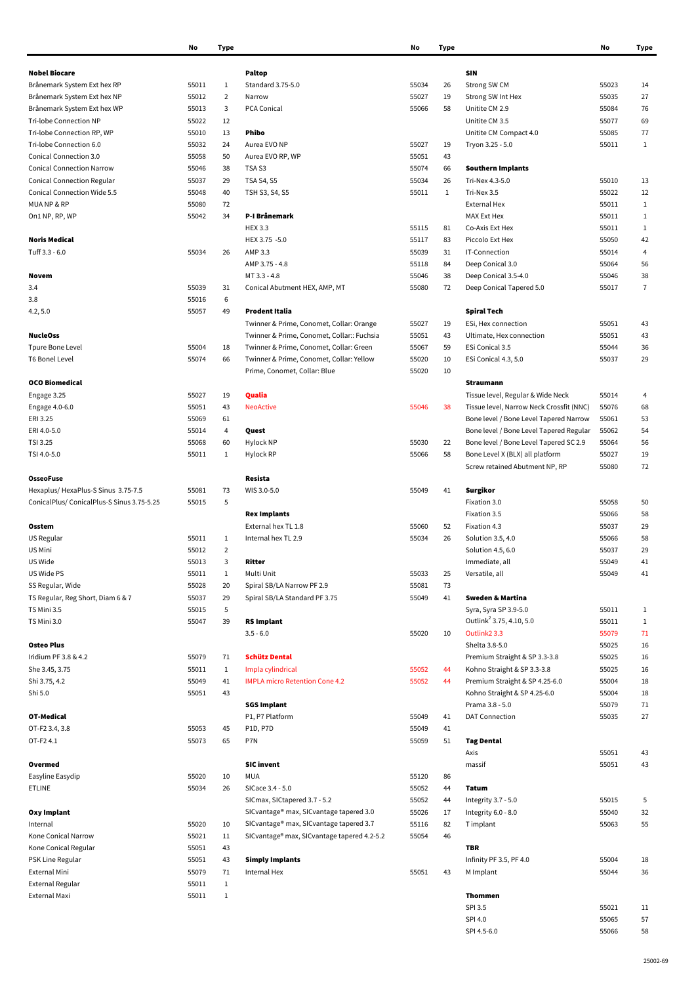|                                           | NO    | ı ype          |                                             | NO    | ıype         |                                          | NO    | туре           |
|-------------------------------------------|-------|----------------|---------------------------------------------|-------|--------------|------------------------------------------|-------|----------------|
|                                           |       |                |                                             |       |              |                                          |       |                |
| <b>Nobel Biocare</b>                      |       |                | <b>Paltop</b>                               |       |              | SIN                                      |       |                |
| Brånemark System Ext hex RP               | 55011 | $\mathbf{1}$   | Standard 3.75-5.0                           | 55034 | 26           | Strong SW CM                             | 55023 | 14             |
| Brånemark System Ext hex NP               | 55012 | $\overline{2}$ | Narrow                                      | 55027 | 19           | Strong SW Int Hex                        | 55035 | 27             |
| Brånemark System Ext hex WP               | 55013 | 3              | PCA Conical                                 | 55066 | 58           | Unitite CM 2.9                           | 55084 | 76             |
| Tri-lobe Connection NP                    | 55022 | 12             |                                             |       |              | Unitite CM 3.5                           | 55077 | 69             |
| Tri-lobe Connection RP, WP                | 55010 | 13             | Phibo                                       |       |              | Unitite CM Compact 4.0                   | 55085 | 77             |
| Tri-lobe Connection 6.0                   | 55032 | 24             | Aurea EVO NP                                | 55027 | 19           | Tryon 3.25 - 5.0                         | 55011 | $\mathbf{1}$   |
| Conical Connection 3.0                    | 55058 | 50             | Aurea EVO RP, WP                            | 55051 | 43           |                                          |       |                |
| <b>Conical Connection Narrow</b>          | 55046 | 38             | TSA <sub>S3</sub>                           | 55074 | 66           | <b>Southern Implants</b>                 |       |                |
| <b>Conical Connection Regular</b>         | 55037 | 29             | <b>TSA S4, S5</b>                           | 55034 | 26           | Tri-Nex 4.3-5.0                          | 55010 | 13             |
| Conical Connection Wide 5.5               | 55048 | 40             | TSH S3, S4, S5                              | 55011 | $\mathbf{1}$ | Tri-Nex 3.5                              | 55022 | 12             |
|                                           |       |                |                                             |       |              |                                          |       |                |
| MUANP & RP                                | 55080 | 72             |                                             |       |              | <b>External Hex</b>                      | 55011 | $\mathbf{1}$   |
| On1 NP, RP, WP                            | 55042 | 34             | P-I Brånemark                               |       |              | MAX Ext Hex                              | 55011 | $\mathbf{1}$   |
|                                           |       |                | <b>HEX 3.3</b>                              | 55115 | 81           | Co-Axis Ext Hex                          | 55011 | $\mathbf{1}$   |
| <b>Noris Medical</b>                      |       |                | HEX 3.75 -5.0                               | 55117 | 83           | Piccolo Ext Hex                          | 55050 | 42             |
| Tuff 3.3 - 6.0                            | 55034 | 26             | AMP 3.3                                     | 55039 | 31           | IT-Connection                            | 55014 | 4              |
|                                           |       |                | AMP 3.75 - 4.8                              | 55118 | 84           | Deep Conical 3.0                         | 55064 | 56             |
| Novem                                     |       |                | MT 3.3 - 4.8                                | 55046 | 38           | Deep Conical 3.5-4.0                     | 55046 | 38             |
| 3.4                                       | 55039 | 31             | Conical Abutment HEX, AMP, MT               | 55080 | 72           | Deep Conical Tapered 5.0                 | 55017 | $\overline{7}$ |
| 3.8                                       | 55016 | 6              |                                             |       |              |                                          |       |                |
| 4.2, 5.0                                  | 55057 | 49             | <b>Prodent Italia</b>                       |       |              | <b>Spiral Tech</b>                       |       |                |
|                                           |       |                | Twinner & Prime, Conomet, Collar: Orange    | 55027 | 19           | ESi, Hex connection                      | 55051 | 43             |
| <b>NucleOss</b>                           |       |                | Twinner & Prime, Conomet, Collar:: Fuchsia  | 55051 | 43           | Ultimate, Hex connection                 | 55051 | 43             |
| <b>Tpure Bone Level</b>                   | 55004 | 18             | Twinner & Prime, Conomet, Collar: Green     | 55067 | 59           | ESi Conical 3.5                          | 55044 | 36             |
| <b>T6 Bonel Level</b>                     | 55074 | 66             | Twinner & Prime, Conomet, Collar: Yellow    | 55020 | 10           | ESi Conical 4.3, 5.0                     | 55037 | 29             |
|                                           |       |                |                                             |       |              |                                          |       |                |
|                                           |       |                | Prime, Conomet, Collar: Blue                | 55020 | 10           |                                          |       |                |
| <b>OCO Biomedical</b>                     |       |                |                                             |       |              | Straumann                                |       |                |
| Engage 3.25                               | 55027 | 19             | Qualia                                      |       |              | Tissue level, Regular & Wide Neck        | 55014 | 4              |
| Engage 4.0-6.0                            | 55051 | 43             | <b>NeoActive</b>                            | 55046 | 38           | Tissue level, Narrow Neck Crossfit (NNC) | 55076 | 68             |
| ERI 3.25                                  | 55069 | 61             |                                             |       |              | Bone level / Bone Level Tapered Narrow   | 55061 | 53             |
| ERI 4.0-5.0                               | 55014 | 4              | Quest                                       |       |              | Bone level / Bone Level Tapered Regular  | 55062 | 54             |
| TSI 3.25                                  | 55068 | 60             | Hylock NP                                   | 55030 | 22           | Bone level / Bone Level Tapered SC 2.9   | 55064 | 56             |
| TSI 4.0-5.0                               | 55011 | $\mathbf{1}$   | Hylock RP                                   | 55066 | 58           | Bone Level X (BLX) all platform          | 55027 | 19             |
|                                           |       |                |                                             |       |              | Screw retained Abutment NP, RP           | 55080 | 72             |
| <b>OsseoFuse</b>                          |       |                | Resista                                     |       |              |                                          |       |                |
| Hexaplus/HexaPlus-S Sinus 3.75-7.5        | 55081 | 73             | WIS 3.0-5.0                                 | 55049 | 41           | Surgikor                                 |       |                |
| ConicalPlus/ConicalPlus-S Sinus 3.75-5.25 | 55015 | 5              |                                             |       |              | Fixation 3.0                             | 55058 | 50             |
|                                           |       |                | <b>Rex Implants</b>                         |       |              | Fixation 3.5                             | 55066 | 58             |
| Osstem                                    |       |                | External hex TL 1.8                         | 55060 | 52           | Fixation 4.3                             | 55037 | 29             |
| US Regular                                | 55011 | $\mathbf{1}$   | Internal hex TL 2.9                         | 55034 | 26           | Solution 3.5, 4.0                        | 55066 | 58             |
|                                           |       |                |                                             |       |              |                                          |       |                |
| US Mini                                   | 55012 | $\overline{2}$ |                                             |       |              | Solution 4.5, 6.0                        | 55037 | 29             |
| US Wide                                   | 55013 | 3              | Ritter                                      |       |              | Immediate, all                           | 55049 | 41             |
| US Wide PS                                | 55011 | $\mathbf{1}$   | Multi Unit                                  | 55033 | 25           | Versatile, all                           | 55049 | 41             |
| SS Regular, Wide                          | 55028 | 20             | Spiral SB/LA Narrow PF 2.9                  | 55081 | 73           |                                          |       |                |
| TS Regular, Reg Short, Diam 6 & 7         | 55037 | 29             | Spiral SB/LA Standard PF 3.75               | 55049 | 41           | <b>Sweden &amp; Martina</b>              |       |                |
| TS Mini 3.5                               | 55015 | 5              |                                             |       |              | Syra, Syra SP 3.9-5.0                    | 55011 | $\mathbf{1}$   |
| TS Mini 3.0                               | 55047 | 39             | <b>RS Implant</b>                           |       |              | Outlink <sup>2</sup> 3.75, 4.10, 5.0     | 55011 | $\mathbf{1}$   |
|                                           |       |                | $3.5 - 6.0$                                 | 55020 | 10           | Outlink <sub>2</sub> 3.3                 | 55079 | 71             |
| <b>Osteo Plus</b>                         |       |                |                                             |       |              | Shelta 3.8-5.0                           | 55025 | 16             |
| Iridium PF 3.8 & 4.2                      | 55079 | 71             | <b>Schütz Dental</b>                        |       |              | Premium Straight & SP 3.3-3.8            | 55025 | 16             |
| She 3.45, 3.75                            | 55011 | $\mathbf{1}$   | Impla cylindrical                           | 55052 | 44           | Kohno Straight & SP 3.3-3.8              | 55025 | 16             |
| Shi 3.75, 4.2                             | 55049 | 41             | <b>IMPLA micro Retention Cone 4.2</b>       | 55052 | 44           | Premium Straight & SP 4.25-6.0           | 55004 | 18             |
| Shi 5.0                                   | 55051 | 43             |                                             |       |              | Kohno Straight & SP 4.25-6.0             | 55004 | 18             |
|                                           |       |                | <b>SGS Implant</b>                          |       |              | Prama 3.8 - 5.0                          | 55079 | 71             |
| OT-Medical                                |       |                | P1, P7 Platform                             | 55049 | 41           | <b>DAT Connection</b>                    | 55035 | 27             |
| OT-F2 3.4, 3.8                            | 55053 | 45             | P1D, P7D                                    | 55049 | 41           |                                          |       |                |
|                                           |       |                |                                             |       |              |                                          |       |                |
| OT-F24.1                                  | 55073 | 65             | P7N                                         | 55059 | 51           | <b>Tag Dental</b>                        |       |                |
|                                           |       |                |                                             |       |              | Axis                                     | 55051 | 43             |
| Overmed                                   |       |                | <b>SIC invent</b>                           |       |              | massif                                   | 55051 | 43             |
| Easyline Easydip                          | 55020 | 10             | <b>MUA</b>                                  | 55120 | 86           |                                          |       |                |
| <b>ETLINE</b>                             | 55034 | 26             | SICace 3.4 - 5.0                            | 55052 | 44           | Tatum                                    |       |                |
|                                           |       |                | SICmax, SICtapered 3.7 - 5.2                | 55052 | 44           | Integrity 3.7 - 5.0                      | 55015 | 5              |
| Oxy Implant                               |       |                | SICvantage® max, SICvantage tapered 3.0     | 55026 | 17           | Integrity 6.0 - 8.0                      | 55040 | 32             |
| Internal                                  | 55020 | 10             | SICvantage® max, SICvantage tapered 3.7     | 55116 | 82           | T implant                                | 55063 | 55             |
| Kone Conical Narrow                       | 55021 | 11             | SICvantage® max, SICvantage tapered 4.2-5.2 | 55054 | 46           |                                          |       |                |
| Kone Conical Regular                      | 55051 | 43             |                                             |       |              | TBR                                      |       |                |
| PSK Line Regular                          | 55051 | 43             | <b>Simply Implants</b>                      |       |              | Infinity PF 3.5, PF 4.0                  | 55004 | 18             |
| External Mini                             | 55079 | 71             | Internal Hex                                | 55051 | 43           | M Implant                                | 55044 | 36             |
| External Regular                          | 55011 | $\mathbf{1}$   |                                             |       |              |                                          |       |                |
|                                           |       |                |                                             |       |              |                                          |       |                |
| External Maxi                             | 55011 | $1\,$          |                                             |       |              | <b>Thommen</b>                           |       |                |
|                                           |       |                |                                             |       |              | SPI 3.5                                  | 55021 | 11             |

| No             | Type         |                                             | No             | Type         |                                          | No             | Type           |
|----------------|--------------|---------------------------------------------|----------------|--------------|------------------------------------------|----------------|----------------|
|                |              |                                             |                |              |                                          |                |                |
|                |              | <b>Paltop</b>                               |                |              | <b>SIN</b>                               |                |                |
| 55011          | 1            | Standard 3.75-5.0                           | 55034          | 26           | Strong SW CM                             | 55023          | 14             |
| 55012          | 2            | Narrow                                      | 55027          | 19           | Strong SW Int Hex                        | 55035          | 27             |
| 55013          | 3            | <b>PCA Conical</b>                          | 55066          | 58           | Unitite CM 2.9                           | 55084          | 76             |
| 55022          | 12           |                                             |                |              | Unitite CM 3.5                           | 55077          | 69             |
| 55010          | 13           | Phibo                                       |                |              | Unitite CM Compact 4.0                   | 55085          | 77             |
| 55032          | 24           | Aurea EVO NP                                | 55027<br>55051 | 19           | Tryon 3.25 - 5.0                         | 55011          | 1              |
| 55058          | 50           | Aurea EVO RP, WP                            |                | 43           |                                          |                |                |
| 55046          | 38           | TSA <sub>S3</sub>                           | 55074          | 66           | <b>Southern Implants</b>                 |                |                |
| 55037          | 29           | <b>TSA S4, S5</b>                           | 55034          | 26           | Tri-Nex 4.3-5.0                          | 55010          | 13             |
| 55048          | 40           | TSH S3, S4, S5                              | 55011          | $\mathbf{1}$ | Tri-Nex 3.5                              | 55022          | 12             |
| 55080          | 72           |                                             |                |              | <b>External Hex</b>                      | 55011          | 1              |
| 55042          | 34           | P-I Brånemark                               |                |              | MAX Ext Hex                              | 55011          | $\mathbf{1}$   |
|                |              | <b>HEX 3.3</b>                              | 55115          | 81           | Co-Axis Ext Hex                          | 55011          | 1              |
|                |              | HEX 3.75 -5.0                               | 55117          | 83           | Piccolo Ext Hex                          | 55050          | 42             |
| 55034          | 26           | AMP 3.3                                     | 55039          | 31           | IT-Connection                            | 55014          | 4              |
|                |              | AMP 3.75 - 4.8<br>MT 3.3 - 4.8              | 55118<br>55046 | 84<br>38     | Deep Conical 3.0                         | 55064<br>55046 | 56<br>38       |
|                |              |                                             |                |              | Deep Conical 3.5-4.0                     |                | $\overline{1}$ |
| 55039          | 31<br>6      | Conical Abutment HEX, AMP, MT               | 55080          | 72           | Deep Conical Tapered 5.0                 | 55017          |                |
| 55016          | 49           |                                             |                |              |                                          |                |                |
| 55057          |              | Prodent Italia                              |                |              | Spiral Tech                              |                |                |
|                |              | Twinner & Prime, Conomet, Collar: Orange    | 55027          | 19           | ESi, Hex connection                      | 55051          | 43             |
|                |              | Twinner & Prime, Conomet, Collar:: Fuchsia  | 55051          | 43           | Ultimate, Hex connection                 | 55051          | 43             |
| 55004          | 18           | Twinner & Prime, Conomet, Collar: Green     | 55067          | 59           | ESi Conical 3.5                          | 55044          | 36             |
| 55074          | 66           | Twinner & Prime, Conomet, Collar: Yellow    | 55020          | 10           | ESi Conical 4.3, 5.0                     | 55037          | 29             |
|                |              | Prime, Conomet, Collar: Blue                | 55020          | 10           |                                          |                |                |
|                |              |                                             |                |              | <b>Straumann</b>                         |                |                |
| 55027          | 19           | Qualia                                      |                |              | Tissue level, Regular & Wide Neck        | 55014          | 4              |
| 55051          | 43           | <b>NeoActive</b>                            | 55046          | 38           | Tissue level, Narrow Neck Crossfit (NNC) | 55076          | 68             |
| 55069          | 61           |                                             |                |              | Bone level / Bone Level Tapered Narrow   | 55061          | 53             |
| 55014          | 4            | Quest                                       |                |              | Bone level / Bone Level Tapered Regular  | 55062          | 54             |
| 55068          | 60           | Hylock NP                                   | 55030          | 22           | Bone level / Bone Level Tapered SC 2.9   | 55064          | 56             |
| 55011          | $\mathbf{1}$ | Hylock RP                                   | 55066          | 58           | Bone Level X (BLX) all platform          | 55027          | 19             |
|                |              |                                             |                |              | Screw retained Abutment NP, RP           | 55080          | 72             |
|                |              | Resista                                     |                |              |                                          |                |                |
| 55081          | 73           | WIS 3.0-5.0                                 | 55049          | 41           | Surgikor                                 |                |                |
| 55015          | 5            |                                             |                |              | Fixation 3.0                             | 55058          | 50             |
|                |              | <b>Rex Implants</b>                         |                |              | Fixation 3.5                             | 55066          | 58             |
|                |              | External hex TL 1.8                         | 55060<br>55034 | 52           | Fixation 4.3                             | 55037          | 29             |
| 55011          | 1<br>2       | Internal hex TL 2.9                         |                | 26           | Solution 3.5, 4.0<br>Solution 4.5, 6.0   | 55066<br>55037 | 58<br>29       |
| 55012          | 3            |                                             |                |              |                                          | 55049          |                |
| 55013<br>55011 | $\mathbf{1}$ | Ritter<br>Multi Unit                        | 55033          | 25           | Immediate, all<br>Versatile, all         | 55049          | 41<br>41       |
| 55028          | 20           | Spiral SB/LA Narrow PF 2.9                  | 55081          | 73           |                                          |                |                |
| 55037          | 29           | Spiral SB/LA Standard PF 3.75               | 55049          | 41           | <b>Sweden &amp; Martina</b>              |                |                |
| 55015          | 5            |                                             |                |              | Syra, Syra SP 3.9-5.0                    | 55011          | 1              |
| 55047          | 39           | <b>RS Implant</b>                           |                |              | Outlink <sup>2</sup> 3.75, 4.10, 5.0     | 55011          | $\mathbf{1}$   |
|                |              | $3.5 - 6.0$                                 | 55020          | 10           | Outlink <sub>2</sub> 3.3                 | 55079          | 71             |
|                |              |                                             |                |              | Shelta 3.8-5.0                           | 55025          | 16             |
| 55079          | 71           | <b>Schütz Dental</b>                        |                |              | Premium Straight & SP 3.3-3.8            | 55025          | 16             |
| 55011          | 1            | Impla cylindrical                           | 55052          | 44           | Kohno Straight & SP 3.3-3.8              | 55025          | 16             |
| 55049          | 41           | <b>IMPLA micro Retention Cone 4.2</b>       | 55052          | 44           | Premium Straight & SP 4.25-6.0           | 55004          | 18             |
| 55051          | 43           |                                             |                |              | Kohno Straight & SP 4.25-6.0             | 55004          | 18             |
|                |              | <b>SGS Implant</b>                          |                |              | Prama 3.8 - 5.0                          | 55079          | 71             |
|                |              | P1, P7 Platform                             | 55049          | 41           | <b>DAT Connection</b>                    | 55035          | 27             |
| 55053          | 45           | <b>P1D, P7D</b>                             | 55049          | 41           |                                          |                |                |
| 55073          | 65           | P7N                                         | 55059          | 51           | <b>Tag Dental</b>                        |                |                |
|                |              |                                             |                |              | Axis                                     | 55051          | 43             |
|                |              | <b>SIC invent</b>                           |                |              | massif                                   | 55051          | 43             |
| 55020          | 10           | <b>MUA</b>                                  | 55120          | 86           |                                          |                |                |
| 55034          | 26           | SICace 3.4 - 5.0                            | 55052          | 44           | Tatum                                    |                |                |
|                |              | SICmax, SICtapered 3.7 - 5.2                | 55052          | 44           | Integrity 3.7 - 5.0                      | 55015          | 5              |
|                |              | SICvantage® max, SICvantage tapered 3.0     | 55026          | 17           | Integrity 6.0 - 8.0                      | 55040          | 32             |
| 55020          | 10           | SICvantage® max, SICvantage tapered 3.7     | 55116          | 82           | T implant                                | 55063          | 55             |
| 55021          | 11           | SICvantage® max, SICvantage tapered 4.2-5.2 | 55054          | 46           |                                          |                |                |
| 55051          | 43           |                                             |                |              | <b>TBR</b>                               |                |                |
| 55051          | 43           | <b>Simply Implants</b>                      |                |              | Infinity PF 3.5, PF 4.0                  | 55004          | 18             |
| 55079          | 71           | <b>Internal Hex</b>                         | 55051          | 43           | M Implant                                | 55044          | 36             |
| 55011          | $\mathbf{1}$ |                                             |                |              |                                          |                |                |
| 55011          | $\mathbf{1}$ |                                             |                |              | Thommen                                  |                |                |
|                |              |                                             |                |              | SPI 3.5                                  | 55021          | 11             |
|                |              |                                             |                |              | SPI 4.0                                  | 55065          | 57             |
|                |              |                                             |                |              | SPI 4.5-6.0                              | 55066          | 58             |